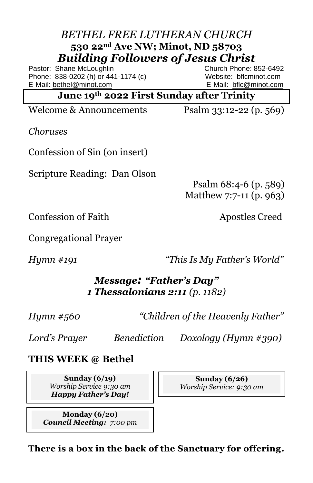### *BETHEL FREE LUTHERAN CHURCH* **530 22nd Ave NW; Minot, ND 58703** *Building Followers of Jesus Christ*

Pastor: Shane McLoughlin **Church Phone: 852-6492** Phone: 838-0202 (h) or 441-1174 (c) Website: bflcminot.com E-Mail[: bethel@minot.com](mailto:bethel@minot.com) E-Mail: [bflc@minot.com](mailto:bflc@minot.com)

**June 19th 2022 First Sunday after Trinity**

Welcome & Announcements Psalm 33:12-22 (p. 569)

*Choruses*

Confession of Sin (on insert)

Scripture Reading: Dan Olson

Psalm 68:4-6 (p. 589) Matthew 7:7-11 (p. 963)

**Confession of Faith Apostles Creed** 

Congregational Prayer

*Hymn #191 "This Is My Father's World"*

### *Message: "Father's Day" 1 Thessalonians 2:11 (p. 1182)*

*Hymn #560 "Children of the Heavenly Father"*

*Lord's Prayer Benediction Doxology (Hymn #390)* 

**THIS WEEK @ Bethel**

**Sunday (6/19)** *Worship Service 9:30 am Happy Father's Day!*

**Monday (6/20)** *Council Meeting: 7:00 pm*

**Sunday (6/26)** *Worship Service: 9:30 am*

**There is a box in the back of the Sanctuary for offering.**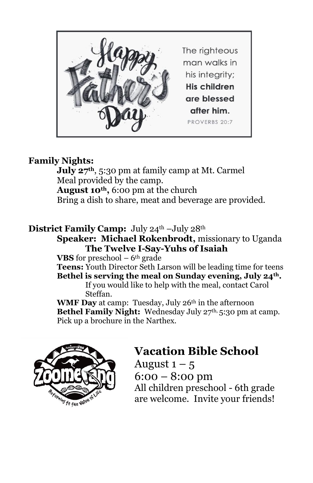

#### **Family Nights:**

**July 27th**, 5:30 pm at family camp at Mt. Carmel Meal provided by the camp. **August 10th,** 6:00 pm at the church Bring a dish to share, meat and beverage are provided.

#### District Family Camp: July 24<sup>th</sup> –July 28<sup>th</sup>

**Speaker: Michael Rokenbrodt,** missionary to Uganda **The Twelve I-Say-Yuhs of Isaiah**

**VBS** for preschool  $-6$ <sup>th</sup> grade

**Teens:** Youth Director Seth Larson will be leading time for teens

**Bethel is serving the meal on Sunday evening, July 24th.** If you would like to help with the meal, contact Carol Steffan.

**WMF Day** at camp: Tuesday, July 26<sup>th</sup> in the afternoon **Bethel Family Night:** Wednesday July 27<sup>th,</sup> 5:30 pm at camp. Pick up a brochure in the Narthex.



# **Vacation Bible School**

August  $1 - 5$ 6:00 – 8:00 pm All children preschool - 6th grade are welcome. Invite your friends!